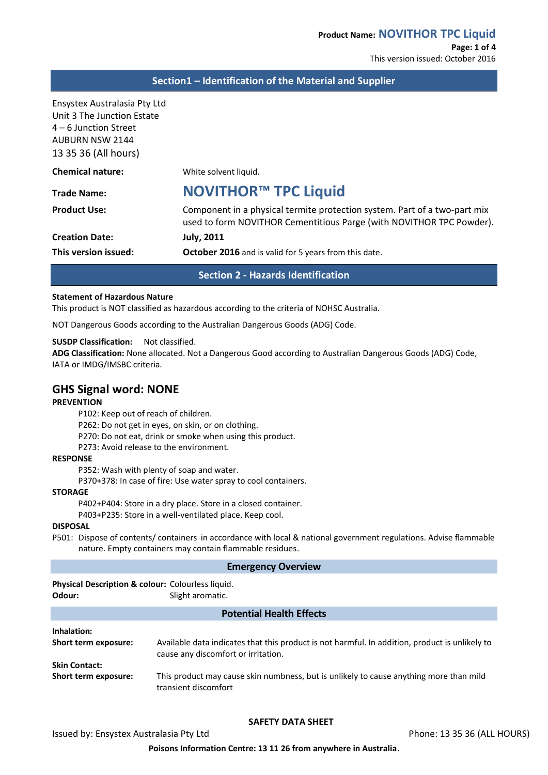# **Section1 – Identification of the Material and Supplier**

Ensystex Australasia Pty Ltd Unit 3 The Junction Estate 4 – 6 Junction Street AUBURN NSW 2144 13 35 36 (All hours)

| <b>Chemical nature:</b> | White solvent liquid.                                                                                                                             |
|-------------------------|---------------------------------------------------------------------------------------------------------------------------------------------------|
| <b>Trade Name:</b>      | <b>NOVITHOR™ TPC Liquid</b>                                                                                                                       |
| <b>Product Use:</b>     | Component in a physical termite protection system. Part of a two-part mix<br>used to form NOVITHOR Cementitious Parge (with NOVITHOR TPC Powder). |
| <b>Creation Date:</b>   | <b>July, 2011</b>                                                                                                                                 |
| This version issued:    | <b>October 2016</b> and is valid for 5 years from this date.                                                                                      |
|                         |                                                                                                                                                   |

**Section 2 - Hazards Identification**

#### **Statement of Hazardous Nature**

This product is NOT classified as hazardous according to the criteria of NOHSC Australia.

NOT Dangerous Goods according to the Australian Dangerous Goods (ADG) Code.

#### **SUSDP Classification:** Not classified.

**ADG Classification:** None allocated. Not a Dangerous Good according to Australian Dangerous Goods (ADG) Code, IATA or IMDG/IMSBC criteria.

## **GHS Signal word: NONE**

### **PREVENTION**

P102: Keep out of reach of children.

P262: Do not get in eyes, on skin, or on clothing.

P270: Do not eat, drink or smoke when using this product.

P273: Avoid release to the environment.

#### **RESPONSE**

P352: Wash with plenty of soap and water.

P370+378: In case of fire: Use water spray to cool containers.

#### **STORAGE**

P402+P404: Store in a dry place. Store in a closed container.

P403+P235: Store in a well-ventilated place. Keep cool.

#### **DISPOSAL**

P501: Dispose of contents/ containers in accordance with local & national government regulations. Advise flammable nature. Empty containers may contain flammable residues.

### **Emergency Overview**

**Physical Description & colour:** Colourless liquid. **Odour:** Slight aromatic.

## **Potential Health Effects**

| Inhalation:<br>Short term exposure:          | Available data indicates that this product is not harmful. In addition, product is unlikely to<br>cause any discomfort or irritation. |
|----------------------------------------------|---------------------------------------------------------------------------------------------------------------------------------------|
| <b>Skin Contact:</b><br>Short term exposure: | This product may cause skin numbness, but is unlikely to cause anything more than mild                                                |
|                                              | transient discomfort                                                                                                                  |

## **SAFETY DATA SHEET**

Issued by: Ensystex Australasia Pty Ltd Phone: 13 35 36 (ALL HOURS)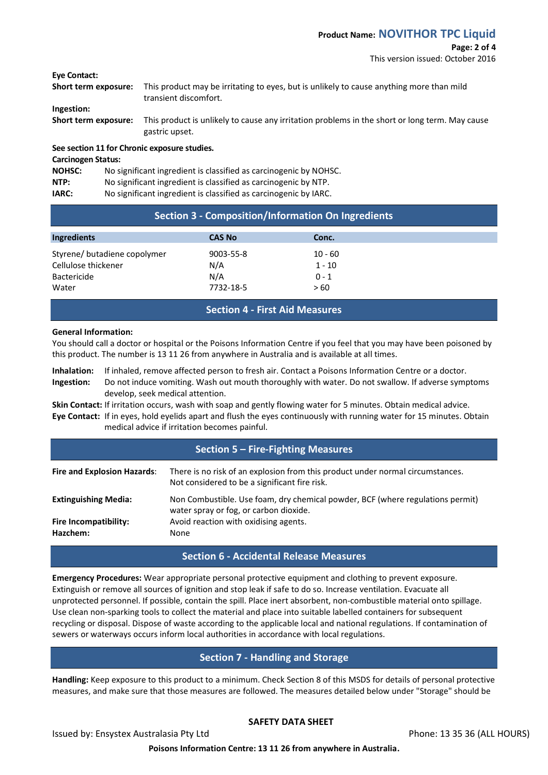#### **Eye Contact:**

| Short term exposure: | This product may be irritating to eyes, but is unlikely to cause anything more than mild<br>transient discomfort. |
|----------------------|-------------------------------------------------------------------------------------------------------------------|
| Ingestion:           |                                                                                                                   |
| Short term exposure: | This product is unlikely to cause any irritation problems in the short or long term. May cause<br>gastric upset.  |

#### **See section 11 for Chronic exposure studies.**

#### **Carcinogen Status:**

| <b>NOHSC:</b> | No significant ingredient is classified as carcinogenic by NOHSC. |
|---------------|-------------------------------------------------------------------|
| NTP:          | No significant ingredient is classified as carcinogenic by NTP.   |

**IARC:** No significant ingredient is classified as carcinogenic by IARC.

| <b>Section 3 - Composition/Information On Ingredients</b> |               |           |  |
|-----------------------------------------------------------|---------------|-----------|--|
| <b>Ingredients</b>                                        | <b>CAS No</b> | Conc.     |  |
| Styrene/ butadiene copolymer                              | 9003-55-8     | $10 - 60$ |  |
| Cellulose thickener                                       | N/A           | $1 - 10$  |  |
| Bactericide                                               | N/A           | $0 - 1$   |  |
| Water                                                     | 7732-18-5     | >60       |  |

# **Section 4 - First Aid Measures**

#### **General Information:**

You should call a doctor or hospital or the Poisons Information Centre if you feel that you may have been poisoned by this product. The number is 13 11 26 from anywhere in Australia and is available at all times.

**Inhalation:** If inhaled, remove affected person to fresh air. Contact a Poisons Information Centre or a doctor. **Ingestion:** Do not induce vomiting. Wash out mouth thoroughly with water. Do not swallow. If adverse symptoms develop, seek medical attention.

**Skin Contact:** If irritation occurs, wash with soap and gently flowing water for 5 minutes. Obtain medical advice.

**Eye Contact:** If in eyes, hold eyelids apart and flush the eyes continuously with running water for 15 minutes. Obtain medical advice if irritation becomes painful.

# **Section 5 – Fire-Fighting Measures**

| <b>Fire and Explosion Hazards:</b> | There is no risk of an explosion from this product under normal circumstances.<br>Not considered to be a significant fire risk. |
|------------------------------------|---------------------------------------------------------------------------------------------------------------------------------|
| <b>Extinguishing Media:</b>        | Non Combustible. Use foam, dry chemical powder, BCF (where regulations permit)<br>water spray or fog, or carbon dioxide.        |
| Fire Incompatibility:<br>Hazchem:  | Avoid reaction with oxidising agents.<br>None                                                                                   |

# **Section 6 - Accidental Release Measures**

**Emergency Procedures:** Wear appropriate personal protective equipment and clothing to prevent exposure. Extinguish or remove all sources of ignition and stop leak if safe to do so. Increase ventilation. Evacuate all unprotected personnel. If possible, contain the spill. Place inert absorbent, non-combustible material onto spillage. Use clean non-sparking tools to collect the material and place into suitable labelled containers for subsequent recycling or disposal. Dispose of waste according to the applicable local and national regulations. If contamination of sewers or waterways occurs inform local authorities in accordance with local regulations.

# **Section 7 - Handling and Storage**

**Handling:** Keep exposure to this product to a minimum. Check Section 8 of this MSDS for details of personal protective measures, and make sure that those measures are followed. The measures detailed below under "Storage" should be

# **SAFETY DATA SHEET**

Issued by: Ensystex Australasia Pty Ltd Phone: 13 35 36 (ALL HOURS)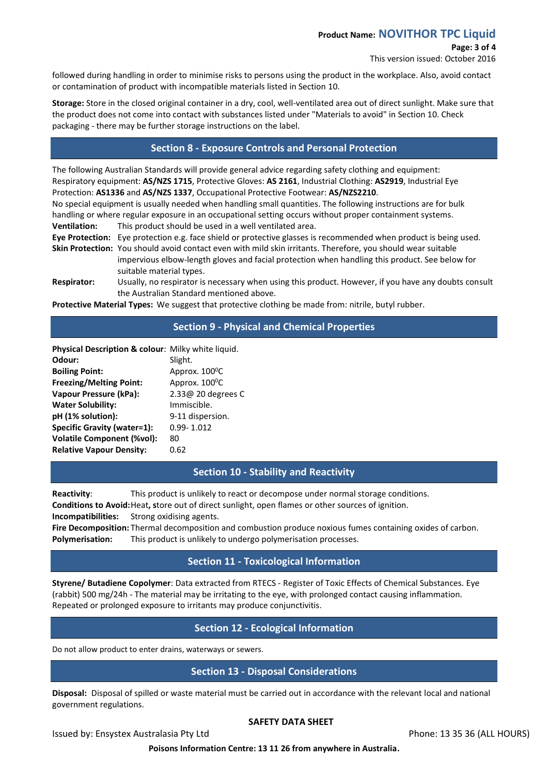# **Product Name: NOVITHOR TPC Liquid**

This version issued: October 2016

followed during handling in order to minimise risks to persons using the product in the workplace. Also, avoid contact or contamination of product with incompatible materials listed in Section 10.

**Storage:** Store in the closed original container in a dry, cool, well-ventilated area out of direct sunlight. Make sure that the product does not come into contact with substances listed under "Materials to avoid" in Section 10. Check packaging - there may be further storage instructions on the label.

# **Section 8 - Exposure Controls and Personal Protection**

The following Australian Standards will provide general advice regarding safety clothing and equipment: Respiratory equipment: **AS/NZS 1715**, Protective Gloves: **AS 2161**, Industrial Clothing: **AS2919**, Industrial Eye Protection: **AS1336** and **AS/NZS 1337**, Occupational Protective Footwear: **AS/NZS2210**.

No special equipment is usually needed when handling small quantities. The following instructions are for bulk handling or where regular exposure in an occupational setting occurs without proper containment systems. **Ventilation:** This product should be used in a well ventilated area.

**Eye Protection:** Eye protection e.g. face shield or protective glasses is recommended when product is being used.

**Skin Protection:** You should avoid contact even with mild skin irritants. Therefore, you should wear suitable impervious elbow-length gloves and facial protection when handling this product. See below for suitable material types.

**Respirator:** Usually, no respirator is necessary when using this product. However, if you have any doubts consult the Australian Standard mentioned above.

**Protective Material Types:** We suggest that protective clothing be made from: nitrile, butyl rubber.

# **Section 9 - Physical and Chemical Properties**

**Physical Description & colour**: Milky white liquid.

| Odour:                             | Slight.            |
|------------------------------------|--------------------|
| <b>Boiling Point:</b>              | Approx. 100°C      |
| <b>Freezing/Melting Point:</b>     | Approx. 100°C      |
| <b>Vapour Pressure (kPa):</b>      | 2.33@ 20 degrees C |
| <b>Water Solubility:</b>           | Immiscible.        |
| pH (1% solution):                  | 9-11 dispersion.   |
| <b>Specific Gravity (water=1):</b> | $0.99 - 1.012$     |
| <b>Volatile Component (%vol):</b>  | 80                 |
| <b>Relative Vapour Density:</b>    | 0.62               |

# **Section 10 - Stability and Reactivity**

**Reactivity**: This product is unlikely to react or decompose under normal storage conditions.

**Conditions to Avoid:**Heat**, s**tore out of direct sunlight, open flames or other sources of ignition.

**Incompatibilities:** Strong oxidising agents.

**Fire Decomposition:** Thermal decomposition and combustion produce noxious fumes containing oxides of carbon. **Polymerisation:** This product is unlikely to undergo polymerisation processes.

# **Section 11 - Toxicological Information**

**Styrene/ Butadiene Copolymer**: Data extracted from RTECS - Register of Toxic Effects of Chemical Substances. Eye (rabbit) 500 mg/24h - The material may be irritating to the eye, with prolonged contact causing inflammation. Repeated or prolonged exposure to irritants may produce conjunctivitis.

# **Section 12 - Ecological Information**

Do not allow product to enter drains, waterways or sewers.

# **Section 13 - Disposal Considerations**

**Disposal:** Disposal of spilled or waste material must be carried out in accordance with the relevant local and national government regulations.

**SAFETY DATA SHEET**

Issued by: Ensystex Australasia Pty Ltd Phone: 13 35 36 (ALL HOURS)